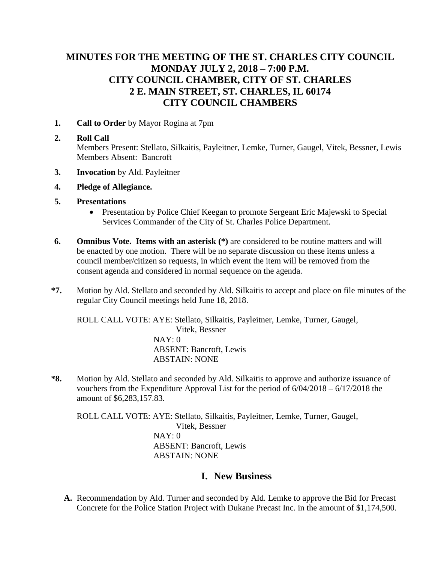## **MINUTES FOR THE MEETING OF THE ST. CHARLES CITY COUNCIL MONDAY JULY 2, 2018 – 7:00 P.M. CITY COUNCIL CHAMBER, CITY OF ST. CHARLES 2 E. MAIN STREET, ST. CHARLES, IL 60174 CITY COUNCIL CHAMBERS**

**1. Call to Order** by Mayor Rogina at 7pm

#### **2. Roll Call**

Members Present: Stellato, Silkaitis, Payleitner, Lemke, Turner, Gaugel, Vitek, Bessner, Lewis Members Absent: Bancroft

- **3. Invocation** by Ald. Payleitner
- **4. Pledge of Allegiance.**
- **5. Presentations**
	- Presentation by Police Chief Keegan to promote Sergeant Eric Majewski to Special Services Commander of the City of St. Charles Police Department.
- **6. Omnibus Vote. Items with an asterisk (\*)** are considered to be routine matters and will be enacted by one motion. There will be no separate discussion on these items unless a council member/citizen so requests, in which event the item will be removed from the consent agenda and considered in normal sequence on the agenda.
- **\*7.** Motion by Ald. Stellato and seconded by Ald. Silkaitis to accept and place on file minutes of the regular City Council meetings held June 18, 2018.

ROLL CALL VOTE: AYE: Stellato, Silkaitis, Payleitner, Lemke, Turner, Gaugel, Vitek, Bessner NAY: 0 ABSENT: Bancroft, Lewis ABSTAIN: NONE

**\*8.** Motion by Ald. Stellato and seconded by Ald. Silkaitis to approve and authorize issuance of vouchers from the Expenditure Approval List for the period of 6/04/2018 – 6/17/2018 the amount of \$6,283,157.83.

ROLL CALL VOTE: AYE: Stellato, Silkaitis, Payleitner, Lemke, Turner, Gaugel, Vitek, Bessner NAY: 0 ABSENT: Bancroft, Lewis ABSTAIN: NONE

### **I. New Business**

**A.** Recommendation by Ald. Turner and seconded by Ald. Lemke to approve the Bid for Precast Concrete for the Police Station Project with Dukane Precast Inc. in the amount of \$1,174,500.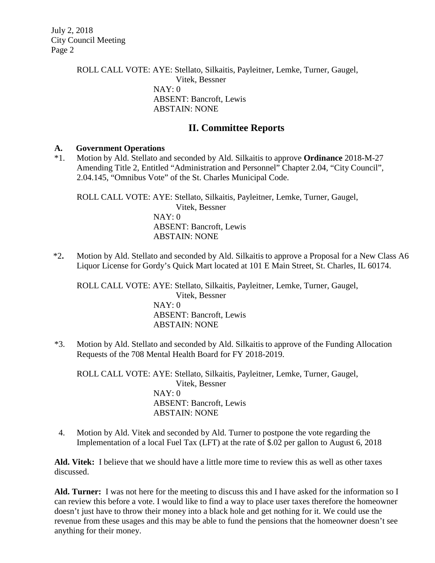> ROLL CALL VOTE: AYE: Stellato, Silkaitis, Payleitner, Lemke, Turner, Gaugel, Vitek, Bessner NAY: 0 ABSENT: Bancroft, Lewis ABSTAIN: NONE

### **II. Committee Reports**

#### **A. Government Operations**

\*1. Motion by Ald. Stellato and seconded by Ald. Silkaitis to approve **Ordinance** 2018-M-27 Amending Title 2, Entitled "Administration and Personnel" Chapter 2.04, "City Council", 2.04.145, "Omnibus Vote" of the St. Charles Municipal Code.

ROLL CALL VOTE: AYE: Stellato, Silkaitis, Payleitner, Lemke, Turner, Gaugel, Vitek, Bessner NAY: 0 ABSENT: Bancroft, Lewis ABSTAIN: NONE

\*2**.** Motion by Ald. Stellato and seconded by Ald. Silkaitis to approve a Proposal for a New Class A6 Liquor License for Gordy's Quick Mart located at 101 E Main Street, St. Charles, IL 60174.

ROLL CALL VOTE: AYE: Stellato, Silkaitis, Payleitner, Lemke, Turner, Gaugel, Vitek, Bessner NAY: 0 ABSENT: Bancroft, Lewis ABSTAIN: NONE

\*3. Motion by Ald. Stellato and seconded by Ald. Silkaitis to approve of the Funding Allocation Requests of the 708 Mental Health Board for FY 2018-2019.

ROLL CALL VOTE: AYE: Stellato, Silkaitis, Payleitner, Lemke, Turner, Gaugel, Vitek, Bessner NAY: 0 ABSENT: Bancroft, Lewis ABSTAIN: NONE

 4. Motion by Ald. Vitek and seconded by Ald. Turner to postpone the vote regarding the Implementation of a local Fuel Tax (LFT) at the rate of \$.02 per gallon to August 6, 2018

**Ald. Vitek:** I believe that we should have a little more time to review this as well as other taxes discussed.

**Ald. Turner:** I was not here for the meeting to discuss this and I have asked for the information so I can review this before a vote. I would like to find a way to place user taxes therefore the homeowner doesn't just have to throw their money into a black hole and get nothing for it. We could use the revenue from these usages and this may be able to fund the pensions that the homeowner doesn't see anything for their money.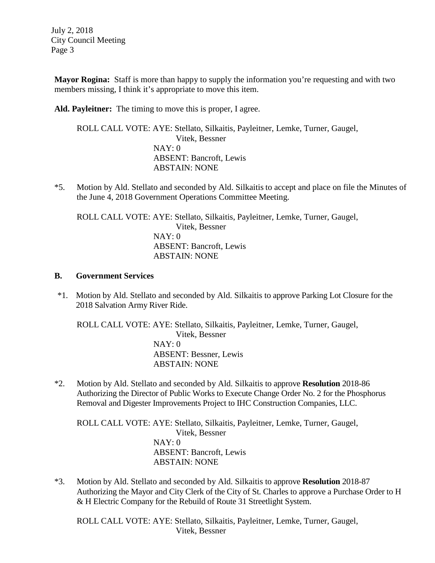**Mayor Rogina:** Staff is more than happy to supply the information you're requesting and with two members missing, I think it's appropriate to move this item.

**Ald. Payleitner:** The timing to move this is proper, I agree.

ROLL CALL VOTE: AYE: Stellato, Silkaitis, Payleitner, Lemke, Turner, Gaugel, Vitek, Bessner NAY: 0 ABSENT: Bancroft, Lewis ABSTAIN: NONE

\*5. Motion by Ald. Stellato and seconded by Ald. Silkaitis to accept and place on file the Minutes of the June 4, 2018 Government Operations Committee Meeting.

ROLL CALL VOTE: AYE: Stellato, Silkaitis, Payleitner, Lemke, Turner, Gaugel, Vitek, Bessner NAY: 0 ABSENT: Bancroft, Lewis ABSTAIN: NONE

#### **B. Government Services**

\*1. Motion by Ald. Stellato and seconded by Ald. Silkaitis to approve Parking Lot Closure for the 2018 Salvation Army River Ride.

ROLL CALL VOTE: AYE: Stellato, Silkaitis, Payleitner, Lemke, Turner, Gaugel, Vitek, Bessner NAY: 0 ABSENT: Bessner, Lewis ABSTAIN: NONE

\*2. Motion by Ald. Stellato and seconded by Ald. Silkaitis to approve **Resolution** 2018-86 Authorizing the Director of Public Works to Execute Change Order No. 2 for the Phosphorus Removal and Digester Improvements Project to IHC Construction Companies, LLC.

ROLL CALL VOTE: AYE: Stellato, Silkaitis, Payleitner, Lemke, Turner, Gaugel, Vitek, Bessner NAY: 0 ABSENT: Bancroft, Lewis ABSTAIN: NONE

\*3. Motion by Ald. Stellato and seconded by Ald. Silkaitis to approve **Resolution** 2018-87 Authorizing the Mayor and City Clerk of the City of St. Charles to approve a Purchase Order to H & H Electric Company for the Rebuild of Route 31 Streetlight System.

ROLL CALL VOTE: AYE: Stellato, Silkaitis, Payleitner, Lemke, Turner, Gaugel, Vitek, Bessner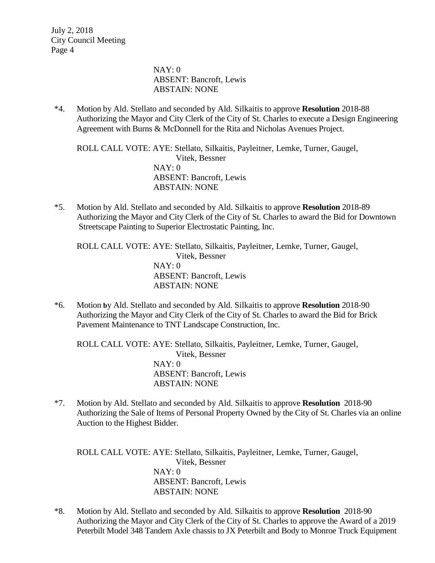> NAY: 0 ABSENT: Bancroft, Lewis ABSTAIN: NONE

\*4. Motion by Ald. Stellato and seconded by Ald. Silkaitis to approve **Resolution** 2018-88 Authorizing the Mayor and City Clerk of the City of St. Charles to execute a Design Engineering Agreement with Burns & McDonnell for the Rita and Nicholas Avenues Project.

ROLL CALL VOTE: AYE: Stellato, Silkaitis, Payleitner, Lemke, Turner, Gaugel, Vitek, Bessner NAY: 0 ABSENT: Bancroft, Lewis ABSTAIN: NONE

\*5. Motion by Ald. Stellato and seconded by Ald. Silkaitis to approve **Resolution** 2018-89 Authorizing the Mayor and City Clerk of the City of St. Charles to award the Bid for Downtown Streetscape Painting to Superior Electrostatic Painting, Inc.

ROLL CALL VOTE: AYE: Stellato, Silkaitis, Payleitner, Lemke, Turner, Gaugel, Vitek, Bessner NAY: 0 ABSENT: Bancroft, Lewis ABSTAIN: NONE

\*6. Motion **b**y Ald. Stellato and seconded by Ald. Silkaitis to approve **Resolution** 2018-90 Authorizing the Mayor and City Clerk of the City of St. Charles to award the Bid for Brick Pavement Maintenance to TNT Landscape Construction, Inc.

ROLL CALL VOTE: AYE: Stellato, Silkaitis, Payleitner, Lemke, Turner, Gaugel, Vitek, Bessner NAY: 0 ABSENT: Bancroft, Lewis ABSTAIN: NONE

\*7. Motion by Ald. Stellato and seconded by Ald. Silkaitis to approve **Resolution** 2018-90 Authorizing the Sale of Items of Personal Property Owned by the City of St. Charles via an online Auction to the Highest Bidder.

ROLL CALL VOTE: AYE: Stellato, Silkaitis, Payleitner, Lemke, Turner, Gaugel, Vitek, Bessner NAY: 0 ABSENT: Bancroft, Lewis ABSTAIN: NONE

\*8. Motion by Ald. Stellato and seconded by Ald. Silkaitis to approve **Resolution** 2018-90 Authorizing the Mayor and City Clerk of the City of St. Charles to approve the Award of a 2019 Peterbilt Model 348 Tandem Axle chassis to JX Peterbilt and Body to Monroe Truck Equipment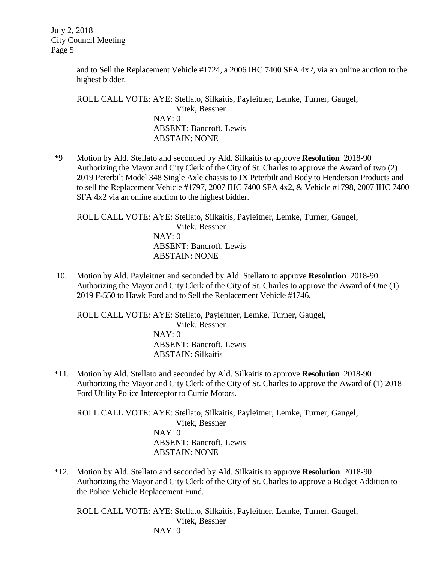> and to Sell the Replacement Vehicle #1724, a 2006 IHC 7400 SFA 4x2, via an online auction to the highest bidder.

ROLL CALL VOTE: AYE: Stellato, Silkaitis, Payleitner, Lemke, Turner, Gaugel, Vitek, Bessner NAY: 0 ABSENT: Bancroft, Lewis ABSTAIN: NONE

\*9 Motion by Ald. Stellato and seconded by Ald. Silkaitis to approve **Resolution** 2018-90 Authorizing the Mayor and City Clerk of the City of St. Charles to approve the Award of two (2) 2019 Peterbilt Model 348 Single Axle chassis to JX Peterbilt and Body to Henderson Products and to sell the Replacement Vehicle #1797, 2007 IHC 7400 SFA 4x2, & Vehicle #1798, 2007 IHC 7400 SFA 4x2 via an online auction to the highest bidder.

ROLL CALL VOTE: AYE: Stellato, Silkaitis, Payleitner, Lemke, Turner, Gaugel, Vitek, Bessner NAY: 0 ABSENT: Bancroft, Lewis ABSTAIN: NONE

10. Motion by Ald. Payleitner and seconded by Ald. Stellato to approve **Resolution** 2018-90 Authorizing the Mayor and City Clerk of the City of St. Charles to approve the Award of One (1) 2019 F-550 to Hawk Ford and to Sell the Replacement Vehicle #1746.

ROLL CALL VOTE: AYE: Stellato, Payleitner, Lemke, Turner, Gaugel, Vitek, Bessner NAY: 0 ABSENT: Bancroft, Lewis ABSTAIN: Silkaitis

\*11. Motion by Ald. Stellato and seconded by Ald. Silkaitis to approve **Resolution** 2018-90 Authorizing the Mayor and City Clerk of the City of St. Charles to approve the Award of (1) 2018 Ford Utility Police Interceptor to Currie Motors.

ROLL CALL VOTE: AYE: Stellato, Silkaitis, Payleitner, Lemke, Turner, Gaugel, Vitek, Bessner NAY: 0 ABSENT: Bancroft, Lewis ABSTAIN: NONE

\*12. Motion by Ald. Stellato and seconded by Ald. Silkaitis to approve **Resolution** 2018-90 Authorizing the Mayor and City Clerk of the City of St. Charles to approve a Budget Addition to the Police Vehicle Replacement Fund.

ROLL CALL VOTE: AYE: Stellato, Silkaitis, Payleitner, Lemke, Turner, Gaugel, Vitek, Bessner NAY: 0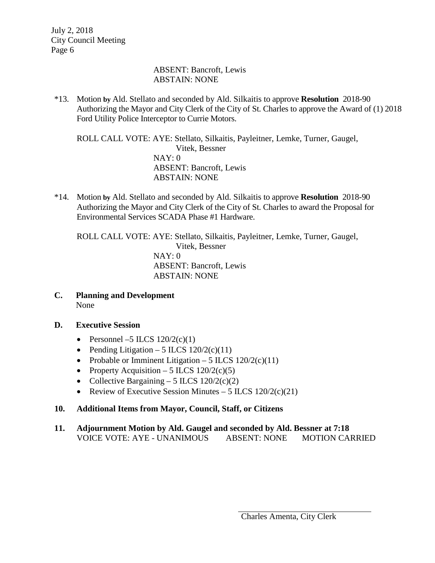#### ABSENT: Bancroft, Lewis ABSTAIN: NONE

\*13. Motion **by** Ald. Stellato and seconded by Ald. Silkaitis to approve **Resolution** 2018-90 Authorizing the Mayor and City Clerk of the City of St. Charles to approve the Award of (1) 2018 Ford Utility Police Interceptor to Currie Motors.

ROLL CALL VOTE: AYE: Stellato, Silkaitis, Payleitner, Lemke, Turner, Gaugel, Vitek, Bessner NAY: 0 ABSENT: Bancroft, Lewis ABSTAIN: NONE

\*14. Motion **by** Ald. Stellato and seconded by Ald. Silkaitis to approve **Resolution** 2018-90 Authorizing the Mayor and City Clerk of the City of St. Charles to award the Proposal for Environmental Services SCADA Phase #1 Hardware.

ROLL CALL VOTE: AYE: Stellato, Silkaitis, Payleitner, Lemke, Turner, Gaugel, Vitek, Bessner NAY: 0 ABSENT: Bancroft, Lewis ABSTAIN: NONE

- **C. Planning and Development** None
- **D. Executive Session**
	- Personnel –5 ILCS  $120/2(c)(1)$
	- Pending Litigation 5 ILCS  $120/2(c)(11)$
	- Probable or Imminent Litigation 5 ILCS  $120/2(c)(11)$
	- Property Acquisition 5 ILCS  $120/2(c)(5)$
	- Collective Bargaining 5 ILCS  $120/2(c)(2)$
	- Review of Executive Session Minutes 5 ILCS  $120/2(c)(21)$

#### **10. Additional Items from Mayor, Council, Staff, or Citizens**

**11. Adjournment Motion by Ald. Gaugel and seconded by Ald. Bessner at 7:18** VOICE VOTE: AYE - UNANIMOUS ABSENT: NONE MOTION CARRIED